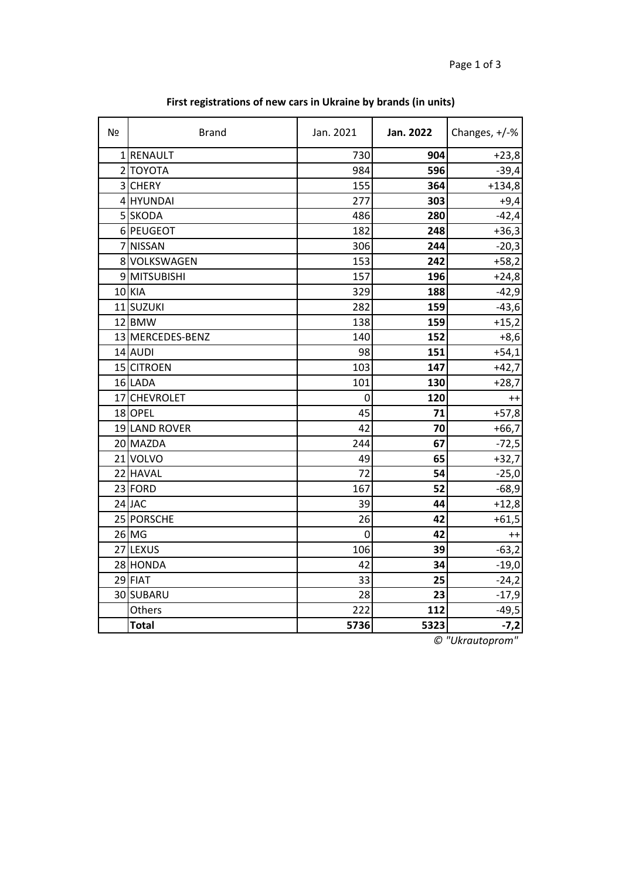| Nº | <b>Brand</b>     | Jan. 2021      | Jan. 2022 | Changes, +/-% |
|----|------------------|----------------|-----------|---------------|
|    | 1 RENAULT        | 730            | 904       | $+23,8$       |
|    | 2 ΤΟΥΟΤΑ         | 984            | 596       | $-39,4$       |
|    | 3 CHERY          | 155            | 364       | $+134,8$      |
|    | 4 HYUNDAI        | 277            | 303       | $+9,4$        |
|    | 5 SKODA          | 486            | 280       | $-42,4$       |
|    | 6 PEUGEOT        | 182            | 248       | $+36,3$       |
|    | 7 NISSAN         | 306            | 244       | $-20,3$       |
|    | 8 VOLKSWAGEN     | 153            | 242       | $+58,2$       |
|    | 9 MITSUBISHI     | 157            | 196       | $+24,8$       |
|    | 10 KIA           | 329            | 188       | $-42,9$       |
|    | 11 SUZUKI        | 282            | 159       | $-43,6$       |
|    | 12 BMW           | 138            | 159       | $+15,2$       |
|    | 13 MERCEDES-BENZ | 140            | 152       | $+8,6$        |
|    | 14 AUDI          | 98             | 151       | $+54,1$       |
|    | 15 CITROEN       | 103            | 147       | $+42,7$       |
|    | 16 LADA          | 101            | 130       | $+28,7$       |
|    | 17 CHEVROLET     | 0              | 120       | $++$          |
|    | 18 OPEL          | 45             | 71        | $+57,8$       |
|    | 19 LAND ROVER    | 42             | 70        | $+66,7$       |
|    | 20 MAZDA         | 244            | 67        | $-72,5$       |
|    | 21 VOLVO         | 49             | 65        | $+32,7$       |
|    | 22 HAVAL         | 72             | 54        | $-25,0$       |
|    | 23 FORD          | 167            | 52        | $-68,9$       |
|    | 24 JAC           | 39             | 44        | $+12,8$       |
|    | 25 PORSCHE       | 26             | 42        | $+61,5$       |
|    | 26 MG            | $\overline{0}$ | 42        | $^{++}$       |
|    | 27 LEXUS         | 106            | 39        | $-63,2$       |
|    | 28 HONDA         | 42             | 34        | $-19,0$       |
|    | 29 FIAT          | 33             | 25        | $-24,2$       |
|    | 30 SUBARU        | 28             | 23        | $-17,9$       |
|    | Others           | 222            | 112       | $-49,5$       |
|    | <b>Total</b>     | 5736           | 5323      | $-7,2$        |

**First registrations of new cars in Ukraine by brands (in units)**

*© "Ukrautoprom"*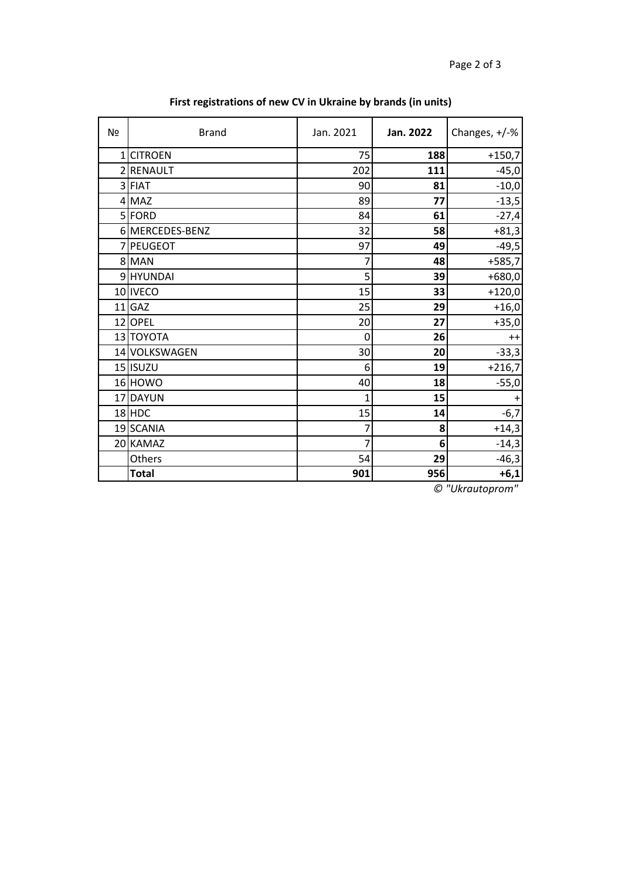| Nº             | <b>Brand</b>    | Jan. 2021 | Jan. 2022 | Changes, +/-% |
|----------------|-----------------|-----------|-----------|---------------|
| $\mathbf{1}$   | <b>CITROEN</b>  | 75        | 188       | $+150,7$      |
| $\overline{2}$ | <b>RENAULT</b>  | 202       | 111       | $-45,0$       |
|                | 3 FIAT          | 90        | 81        | $-10,0$       |
|                | 4 MAZ           | 89        | 77        | $-13,5$       |
|                | 5 FORD          | 84        | 61        | $-27,4$       |
|                | 6 MERCEDES-BENZ | 32        | 58        | $+81,3$       |
|                | 7 PEUGEOT       | 97        | 49        | $-49,5$       |
|                | 8 MAN           | 7         | 48        | $+585,7$      |
|                | 9 HYUNDAI       | 5         | 39        | $+680,0$      |
|                | 10 IVECO        | 15        | 33        | $+120,0$      |
|                | $11$ GAZ        | 25        | 29        | $+16,0$       |
|                | 12 OPEL         | 20        | 27        | $+35,0$       |
|                | 13 TOYOTA       | 0         | 26        | $++$          |
|                | 14 VOLKSWAGEN   | 30        | 20        | $-33,3$       |
|                | 15 ISUZU        | 6         | 19        | $+216,7$      |
|                | 16 HOWO         | 40        | 18        | $-55,0$       |
|                | 17 DAYUN        | 1         | 15        |               |
|                | 18 HDC          | 15        | 14        | $-6,7$        |
|                | 19 SCANIA       | 7         | 8         | $+14,3$       |
|                | 20 KAMAZ        | 7         | 6         | $-14,3$       |
|                | Others          | 54        | 29        | $-46,3$       |
|                | <b>Total</b>    | 901       | 956       | $+6,1$        |

## **First registrations of new CV in Ukraine by brands (in units)**

*© "Ukrautoprom"*